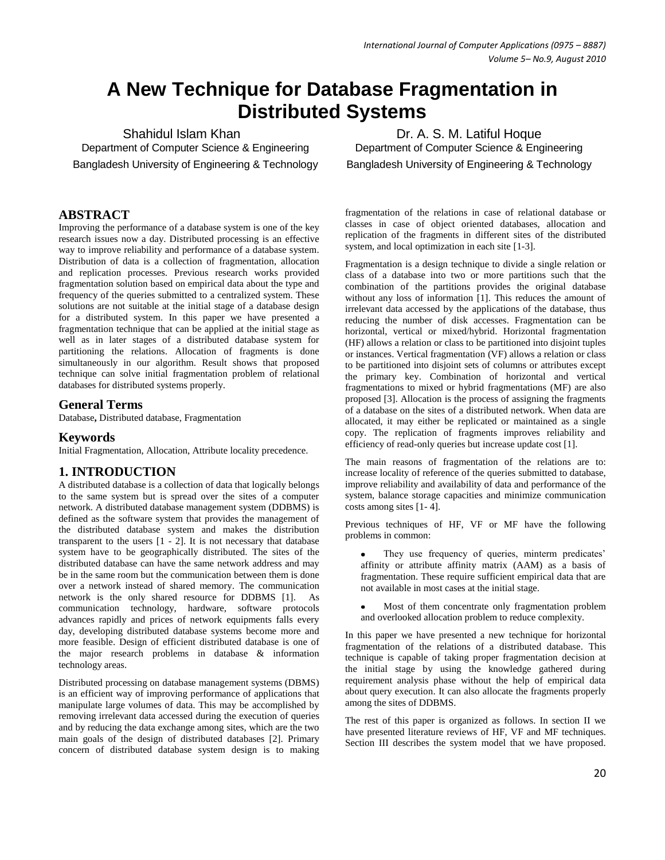# **A New Technique for Database Fragmentation in Distributed Systems**

Department of Computer Science & Engineering Department of Computer Science & Engineering Bangladesh University of Engineering & Technology Bangladesh University of Engineering & Technology

# **ABSTRACT**

Improving the performance of a database system is one of the key research issues now a day. Distributed processing is an effective way to improve reliability and performance of a database system. Distribution of data is a collection of fragmentation, allocation and replication processes. Previous research works provided fragmentation solution based on empirical data about the type and frequency of the queries submitted to a centralized system. These solutions are not suitable at the initial stage of a database design for a distributed system. In this paper we have presented a fragmentation technique that can be applied at the initial stage as well as in later stages of a distributed database system for partitioning the relations. Allocation of fragments is done simultaneously in our algorithm. Result shows that proposed technique can solve initial fragmentation problem of relational databases for distributed systems properly.

# **General Terms**

Database**,** Distributed database, Fragmentation

# **Keywords**

Initial Fragmentation, Allocation, Attribute locality precedence.

# **1. INTRODUCTION**

A distributed database is a collection of data that logically belongs to the same system but is spread over the sites of a computer network. A distributed database management system (DDBMS) is defined as the software system that provides the management of the distributed database system and makes the distribution transparent to the users [1 - 2]. It is not necessary that database system have to be geographically distributed. The sites of the distributed database can have the same network address and may be in the same room but the communication between them is done over a network instead of shared memory. The communication network is the only shared resource for DDBMS [1]. As communication technology, hardware, software protocols advances rapidly and prices of network equipments falls every day, developing distributed database systems become more and more feasible. Design of efficient distributed database is one of the major research problems in database & information technology areas.

Distributed processing on database management systems (DBMS) is an efficient way of improving performance of applications that manipulate large volumes of data. This may be accomplished by removing irrelevant data accessed during the execution of queries and by reducing the data exchange among sites, which are the two main goals of the design of distributed databases [2]. Primary concern of distributed database system design is to making

Shahidul Islam Khan Dr. A. S. M. Latiful Hoque

fragmentation of the relations in case of relational database or classes in case of object oriented databases, allocation and replication of the fragments in different sites of the distributed system, and local optimization in each site [1-3].

Fragmentation is a design technique to divide a single relation or class of a database into two or more partitions such that the combination of the partitions provides the original database without any loss of information [1]. This reduces the amount of irrelevant data accessed by the applications of the database, thus reducing the number of disk accesses. Fragmentation can be horizontal, vertical or mixed/hybrid. Horizontal fragmentation (HF) allows a relation or class to be partitioned into disjoint tuples or instances. Vertical fragmentation (VF) allows a relation or class to be partitioned into disjoint sets of columns or attributes except the primary key. Combination of horizontal and vertical fragmentations to mixed or hybrid fragmentations (MF) are also proposed [3]. Allocation is the process of assigning the fragments of a database on the sites of a distributed network. When data are allocated, it may either be replicated or maintained as a single copy. The replication of fragments improves reliability and efficiency of read-only queries but increase update cost [1].

The main reasons of fragmentation of the relations are to: increase locality of reference of the queries submitted to database, improve reliability and availability of data and performance of the system, balance storage capacities and minimize communication costs among sites [1- 4].

Previous techniques of HF, VF or MF have the following problems in common:

- They use frequency of queries, minterm predicates' affinity or attribute affinity matrix (AAM) as a basis of fragmentation. These require sufficient empirical data that are not available in most cases at the initial stage.
- Most of them concentrate only fragmentation problem and overlooked allocation problem to reduce complexity.

In this paper we have presented a new technique for horizontal fragmentation of the relations of a distributed database. This technique is capable of taking proper fragmentation decision at the initial stage by using the knowledge gathered during requirement analysis phase without the help of empirical data about query execution. It can also allocate the fragments properly among the sites of DDBMS.

The rest of this paper is organized as follows. In section II we have presented literature reviews of HF, VF and MF techniques. Section III describes the system model that we have proposed.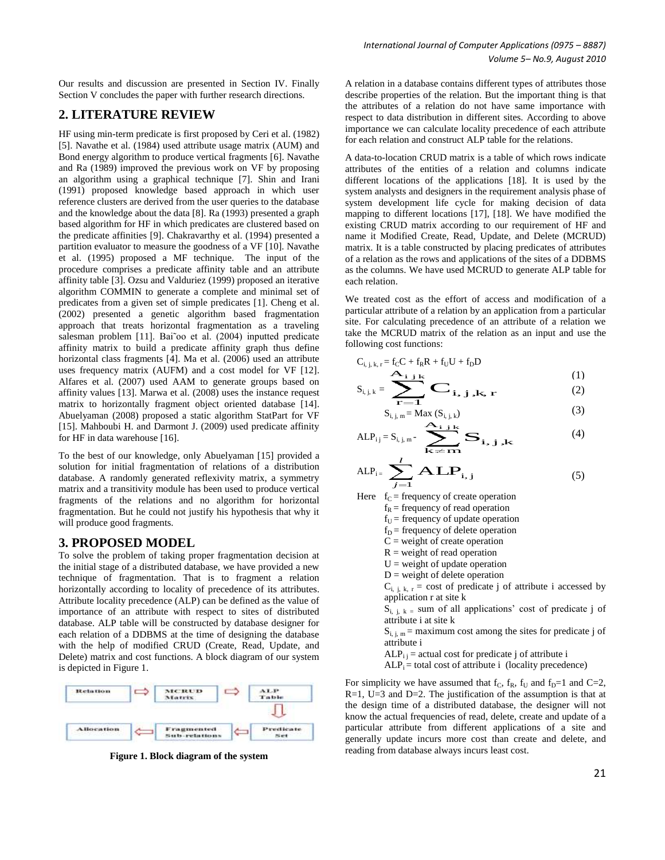### **2. LITERATURE REVIEW**

HF using min-term predicate is first proposed by Ceri et al. (1982) [5]. Navathe et al. (1984) used attribute usage matrix (AUM) and Bond energy algorithm to produce vertical fragments [6]. Navathe and Ra (1989) improved the previous work on VF by proposing an algorithm using a graphical technique [7]. Shin and Irani (1991) proposed knowledge based approach in which user reference clusters are derived from the user queries to the database and the knowledge about the data [8]. Ra (1993) presented a graph based algorithm for HF in which predicates are clustered based on the predicate affinities [9]. Chakravarthy et al. (1994) presented a partition evaluator to measure the goodness of a VF [10]. Navathe et al. (1995) proposed a MF technique. The input of the procedure comprises a predicate affinity table and an attribute affinity table [3]. Ozsu and Valduriez (1999) proposed an iterative algorithm COMMIN to generate a complete and minimal set of predicates from a given set of simple predicates [1]. Cheng et al. (2002) presented a genetic algorithm based fragmentation approach that treats horizontal fragmentation as a traveling salesman problem [11]. Bai oo et al. (2004) inputted predicate affinity matrix to build a predicate affinity graph thus define horizontal class fragments [4]. Ma et al. (2006) used an attribute uses frequency matrix (AUFM) and a cost model for VF [12]. Alfares et al. (2007) used AAM to generate groups based on affinity values [13]. Marwa et al. (2008) uses the instance request matrix to horizontally fragment object oriented database [14]. Abuelyaman (2008) proposed a static algorithm StatPart for VF [15]. Mahboubi H. and Darmont J. (2009) used predicate affinity for HF in data warehouse [16].

To the best of our knowledge, only Abuelyaman [15] provided a solution for initial fragmentation of relations of a distribution database. A randomly generated reflexivity matrix, a symmetry matrix and a transitivity module has been used to produce vertical fragments of the relations and no algorithm for horizontal fragmentation. But he could not justify his hypothesis that why it will produce good fragments.

#### **3. PROPOSED MODEL**

To solve the problem of taking proper fragmentation decision at the initial stage of a distributed database, we have provided a new technique of fragmentation. That is to fragment a relation horizontally according to locality of precedence of its attributes. Attribute locality precedence (ALP) can be defined as the value of importance of an attribute with respect to sites of distributed database. ALP table will be constructed by database designer for each relation of a DDBMS at the time of designing the database with the help of modified CRUD (Create, Read, Update, and Delete) matrix and cost functions. A block diagram of our system is depicted in Figure 1.



**Figure 1. Block diagram of the system**

A relation in a database contains different types of attributes those describe properties of the relation. But the important thing is that the attributes of a relation do not have same importance with respect to data distribution in different sites. According to above importance we can calculate locality precedence of each attribute for each relation and construct ALP table for the relations.

A data-to-location CRUD matrix is a table of which rows indicate attributes of the entities of a relation and columns indicate different locations of the applications [18]. It is used by the system analysts and designers in the requirement analysis phase of system development life cycle for making decision of data mapping to different locations [17], [18]. We have modified the existing CRUD matrix according to our requirement of HF and name it Modified Create, Read, Update, and Delete (MCRUD) matrix. It is a table constructed by placing predicates of attributes of a relation as the rows and applications of the sites of a DDBMS as the columns. We have used MCRUD to generate ALP table for each relation.

We treated cost as the effort of access and modification of a particular attribute of a relation by an application from a particular site. For calculating precedence of an attribute of a relation we take the MCRUD matrix of the relation as an input and use the following cost functions:

$$
C_{i,j,k,r} = f_C C + f_R R + f_U U + f_D D
$$
  
\n
$$
S_{i,j,k} = \sum_{i,j} \sum_{i,j} k_{i,j,k,r} \tag{1}
$$

$$
S_{i,j,k} = \sum_{\mathbf{r} = \mathbf{1}} \mathbf{C}_{i,j,k,\mathbf{r}} \tag{2}
$$

$$
S_{i, j, m} = Max (S_{i, j, k})
$$
\n
$$
S_{i, j, m} = \underbrace{S_{i, j, k}}_{\text{max}}
$$
\n(3)

$$
ALP_{ij} = S_{i,j,m} - \sum_{k \neq m}^{A_{i,j,k}} S_{i,j,k}
$$
\n(4)

$$
ALP_{i} = \sum_{j=1}^{l} ALP_{i,j}
$$
 (5)

Here  $f_C$  = frequency of create operation

 $f_R$  = frequency of read operation

 $f_U$  = frequency of update operation

 $f_D$  = frequency of delete operation

- $C$  = weight of create operation
- $R$  = weight of read operation

 $U =$  weight of update operation

- $D$  = weight of delete operation
- $C_{i,i,k,r}$  = cost of predicate j of attribute i accessed by application r at site k

 $S_{i, j, k}$  = sum of all applications' cost of predicate j of attribute i at site k

 $S_{i, j, m}$  = maximum cost among the sites for predicate j of attribute i

- $ALP_{i}$  = actual cost for predicate j of attribute i
- $ALP_i$  = total cost of attribute i (locality precedence)

For simplicity we have assumed that  $f_c$ ,  $f_R$ ,  $f_U$  and  $f_D=1$  and  $C=2$ ,  $R=1$ ,  $U=3$  and  $D=2$ . The justification of the assumption is that at the design time of a distributed database, the designer will not know the actual frequencies of read, delete, create and update of a particular attribute from different applications of a site and generally update incurs more cost than create and delete, and reading from database always incurs least cost.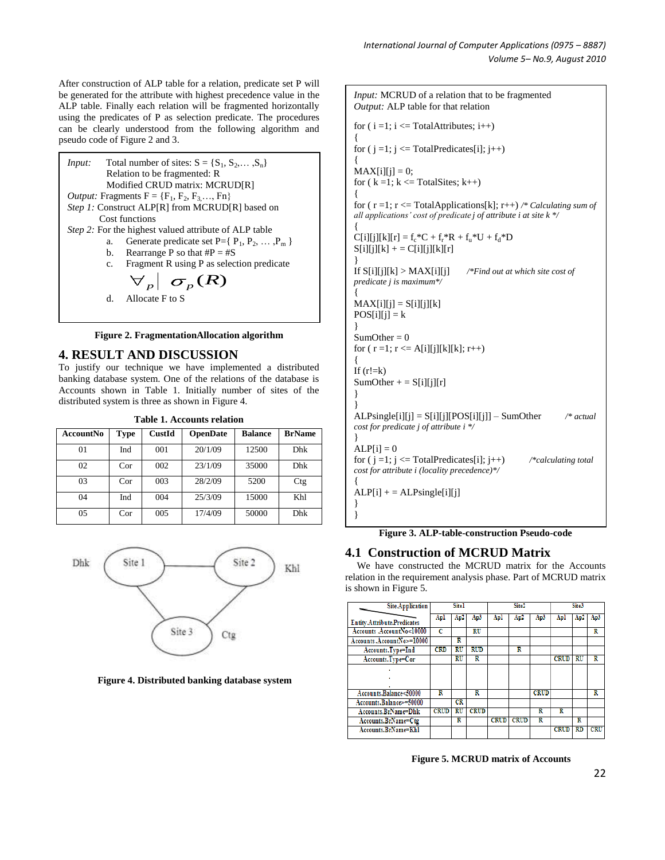After construction of ALP table for a relation, predicate set P will be generated for the attribute with highest precedence value in the ALP table. Finally each relation will be fragmented horizontally using the predicates of P as selection predicate. The procedures can be clearly understood from the following algorithm and pseudo code of Figure 2 and 3.



**Figure 2. FragmentationAllocation algorithm**

#### **4. RESULT AND DISCUSSION**

To justify our technique we have implemented a distributed banking database system. One of the relations of the database is Accounts shown in Table 1. Initially number of sites of the distributed system is three as shown in Figure 4.

|                                                         |  | <b>Table 1. Accounts relation</b> |  |
|---------------------------------------------------------|--|-----------------------------------|--|
| AccountNo   Type   CustId   OpenDate   Balance   BrName |  |                                   |  |

| Ассоциимо | т уре | Uustia | <b>OpenDate</b> | ранинсе | ргімаше |
|-----------|-------|--------|-----------------|---------|---------|
| 01        | Ind   | 001    | 20/1/09         | 12500   | Dhk     |
| 02        | Cor   | 002    | 23/1/09         | 35000   | Dhk     |
| 03        | Cor   | 003    | 28/2/09         | 5200    | Ctg     |
| 04        | Ind   | 004    | 25/3/09         | 15000   | Khl     |
| 05        | Cor   | 005    | 17/4/09         | 50000   | Dhk     |



**Figure 4. Distributed banking database system**

*Input:* MCRUD of a relation that to be fragmented *Output:* ALP table for that relation for  $(i = 1; i \leq T$ otalAttributes;  $i++)$ { for  $(j = 1; j \leq TotalPredict[s][j; j++)$ {  $MAX[i][j] = 0;$ for  $(k = 1; k \leq TotalStes; k++)$ { for ( r =1; r <= TotalApplications[k]; r++) */\* Calculating sum of all applications' cost of predicate j of attribute i at site k \*/* {  $C[i][j][k][r] = f_c * C + f_r * R + f_u * U + f_d * D$  $S[i][j][k]$  + =  $C[i][j][k][r]$ } If S[i][j][k] > MAX[i][j] */\*Find out at which site cost of predicate j is maximum\*/* {  $MAX[i][j] = S[i][j][k]$  $POS[i][j] = k$ }  $SumOther = 0$ for (  $r = 1$ ;  $r \le A[i][j][k][k]$ ;  $r++$ ) { If  $(r!=k)$  $SumOther + = S[i][j][r]$ } } ALPsingle[i][j] = S[i][j][POS[i][j]] – SumOther */\* actual cost for predicate j of attribute i \*/* }  $ALP[i] = 0$ for  $(j = 1; j \leq TotalPredicting [i]; j++)$  /\*calculating total *cost for attribute i (locality precedence)\*/* {  $ALP[i]$  + =  $ALPsingle[i][j]$ } }

**Figure 3. ALP-table-construction Pseudo-code** 

#### **4.1 Construction of MCRUD Matrix**

We have constructed the MCRUD matrix for the Accounts relation in the requirement analysis phase. Part of MCRUD matrix is shown in Figure 5.

| <b>Site.Application</b>            |                         | Sitel                    |             |             | Site <sub>2</sub> |             |             | Site3 |     |
|------------------------------------|-------------------------|--------------------------|-------------|-------------|-------------------|-------------|-------------|-------|-----|
| <b>Entity.Attribute.Predicates</b> | Apl                     | Ap2                      | Ap3         | Apl         | Ap2               | Ap3         | Apl         | Ap2   | Ap3 |
| Accounts .AccountNo<10000          | c                       |                          | <b>RU</b>   |             |                   |             |             |       | R   |
| Accounts.AccountNo>=10000          |                         | R                        |             |             |                   |             |             |       |     |
| Accounts.Type=Ind                  | <b>CRD</b>              | RU                       | <b>RUD</b>  |             | R                 |             |             |       |     |
| Accounts.Type=Cor                  |                         | $\overline{\mathrm{RU}}$ | R           |             |                   |             | <b>CRUD</b> | RU    | R   |
|                                    |                         |                          |             |             |                   |             |             |       |     |
|                                    |                         |                          |             |             |                   |             |             |       |     |
|                                    |                         |                          |             |             |                   |             |             |       |     |
| Accounts.Balance<50000             | $\overline{\textbf{R}}$ |                          | R           |             |                   | <b>CRUD</b> |             |       | R   |
| Accounts.Balance>=50000            |                         | CR                       |             |             |                   |             |             |       |     |
| Accounts.BrName=Dhk                | <b>CRUD</b>             | RU                       | <b>CRUD</b> |             |                   | R           | R           |       |     |
| Accounts.BrName=Ctg                |                         | R                        |             | <b>CRUD</b> | <b>CRUD</b>       | R           |             | R     |     |
| Accounts.BrName=Khl                |                         |                          |             |             |                   |             | <b>CRUD</b> | RD    | CRU |

**Figure 5. MCRUD matrix of Accounts**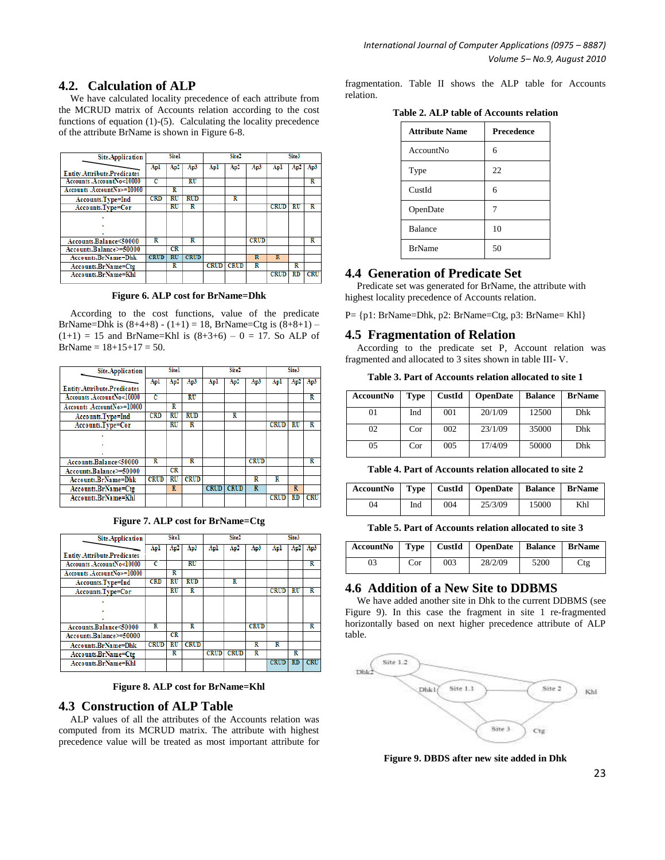# **4.2. Calculation of ALP**

We have calculated locality precedence of each attribute from the MCRUD matrix of Accounts relation according to the cost functions of equation (1)-(5). Calculating the locality precedence of the attribute BrName is shown in Figure 6-8.

| <b>Site.Application</b>            |             | <b>Site1</b> |                          |             | Site <sub>2</sub> |             |                         | Site3 |                         |
|------------------------------------|-------------|--------------|--------------------------|-------------|-------------------|-------------|-------------------------|-------|-------------------------|
|                                    | Apl         | Ap2          | Ap3                      | Apl         | Ap2               | Ap3         | Apl                     | Ap2   | Ap3                     |
| <b>Entity.Attribute.Predicates</b> |             |              |                          |             |                   |             |                         |       |                         |
| Accounts .AccountNo<10000          | c           |              | $\overline{\mathrm{RU}}$ |             |                   |             |                         |       | R                       |
| Accounts .AccountNo>=10000         |             | R            |                          |             |                   |             |                         |       |                         |
| Accounts.Type=Ind                  | <b>CRD</b>  | RU           | <b>RUD</b>               |             | R                 |             |                         |       |                         |
| Accounts.Type=Cor                  |             | $_{\rm RU}$  | R                        |             |                   |             | <b>CRUD</b>             | πU    | R                       |
|                                    |             |              |                          |             |                   |             |                         |       |                         |
|                                    |             |              |                          |             |                   |             |                         |       |                         |
|                                    |             |              |                          |             |                   |             |                         |       |                         |
| Accounts.Balance<50000             | R           |              | R                        |             |                   | <b>CRUD</b> |                         |       | $\overline{\textbf{R}}$ |
| Accounts.Balance>=50000            |             | CR           |                          |             |                   |             |                         |       |                         |
| Accounts.BrName=Dhk                | <b>CRUD</b> | RU           | <b>CRUD</b>              |             |                   | R           | $\overline{\mathbf{R}}$ |       |                         |
| Accounts.BrName=Ctg                |             | R            |                          | <b>CRUD</b> | <b>CRUD</b>       | R           |                         | R     |                         |
| Accounts.BrName=Khl                |             |              |                          |             |                   |             | <b>CRUD</b>             | RD    | <b>CRU</b>              |
|                                    |             |              |                          |             |                   |             |                         |       |                         |

**Figure 6. ALP cost for BrName=Dhk**

According to the cost functions, value of the predicate BrName=Dhk is  $(8+4+8) - (1+1) = 18$ , BrName=Ctg is  $(8+8+1)$  –  $(1+1) = 15$  and BrName=Khl is  $(8+3+6) - 0 = 17$ . So ALP of  $BrName = 18+15+17 = 50.$ 

| <b>Site.Application</b>            |             | <b>Site1</b>             |                          |             | Site <sub>2</sub> |             |             | Site3                    |            |
|------------------------------------|-------------|--------------------------|--------------------------|-------------|-------------------|-------------|-------------|--------------------------|------------|
|                                    | Apl         | Ap2                      | Ap3                      | Apl         | Ap2               | Ap3         | Apl         | Ap2                      | Ap3        |
| <b>Entity.Attribute.Predicates</b> |             |                          |                          |             |                   |             |             |                          |            |
| Accounts .AccountNo<10000          | c           |                          | $\overline{\mathrm{RU}}$ |             |                   |             |             |                          | R          |
| Accounts .AccountNo>=10000         |             | R                        |                          |             |                   |             |             |                          |            |
| Accounts.Type=Ind                  | <b>CRD</b>  | RU                       | <b>RUD</b>               |             | R                 |             |             |                          |            |
| Accounts.Type=Cor                  |             | $\overline{\mathrm{RU}}$ | R                        |             |                   |             | <b>CRUD</b> | $\overline{\mathrm{RU}}$ | R          |
|                                    |             |                          |                          |             |                   |             |             |                          |            |
|                                    |             |                          |                          |             |                   |             |             |                          |            |
|                                    |             |                          |                          |             |                   |             |             |                          |            |
| Accounts.Balance<50000             | R           |                          | R                        |             |                   | <b>CRUD</b> |             |                          | R          |
| Accounts.Balance>=50000            |             | CR                       |                          |             |                   |             |             |                          |            |
| Accounts.BrName=Dhk                | <b>CRUD</b> | RU                       | <b>CRUD</b>              |             |                   | R           | R           |                          |            |
| Accounts.BrName=Ctg                |             | $\overline{\mathbf{R}}$  |                          | <b>CRUD</b> | <b>CRUD</b>       | R           |             | $\overline{\mathbf{R}}$  |            |
| Accounts.BrName=Khl                |             |                          |                          |             |                   |             | <b>CRUD</b> | $_{RD}$                  | <b>CRU</b> |

**Figure 7. ALP cost for BrName=Ctg**

| <b>Site.Application</b>            |             | <b>Site1</b> |                          |             | Site <sub>2</sub> |             |                         | Site3     |                         |
|------------------------------------|-------------|--------------|--------------------------|-------------|-------------------|-------------|-------------------------|-----------|-------------------------|
|                                    | Apl         | Ap2          | Ap3                      | Apl         | Ap2               | Ap3         | Apl                     | Ap2       | Ap3                     |
| <b>Entity.Attribute.Predicates</b> |             |              |                          |             |                   |             |                         |           |                         |
| Accounts .AccountNo<10000          | c           |              | $\overline{\mathrm{RU}}$ |             |                   |             |                         |           | $\overline{\textbf{R}}$ |
| Accounts .AccountNo>=10000         |             | R            |                          |             |                   |             |                         |           |                         |
| Accounts.Type=Ind                  | <b>CRD</b>  | RU           | <b>RUD</b>               |             | R                 |             |                         |           |                         |
| Accounts.Type=Cor                  |             | RU           | R                        |             |                   |             | <b>CRUD</b>             | <b>RU</b> | R                       |
|                                    |             |              |                          |             |                   |             |                         |           |                         |
|                                    |             |              |                          |             |                   |             |                         |           |                         |
|                                    |             |              |                          |             |                   |             |                         |           |                         |
| Accounts.Balance<50000             | R           |              | R                        |             |                   | <b>CRUD</b> |                         |           | R                       |
| Accounts.Balance>=50000            |             | CR           |                          |             |                   |             |                         |           |                         |
| Accounts.BrName=Dhk                | <b>CRUD</b> | RU           | <b>CRUD</b>              |             |                   | R           | $\overline{\textbf{R}}$ |           |                         |
| Accounts.BrName=Ctg                |             | R            |                          | <b>CRUD</b> | <b>CRUD</b>       | R           |                         | R         |                         |
| Accounts.BrName=Khl                |             |              |                          |             |                   |             | <b>CRUD</b>             | <b>RD</b> | CRU                     |

**Figure 8. ALP cost for BrName=Khl**

# **4.3 Construction of ALP Table**

ALP values of all the attributes of the Accounts relation was computed from its MCRUD matrix. The attribute with highest precedence value will be treated as most important attribute for fragmentation. Table II shows the ALP table for Accounts relation.

**Table 2. ALP table of Accounts relation**

| <b>Attribute Name</b> | <b>Precedence</b> |
|-----------------------|-------------------|
| AccountNo             | 6                 |
| Type                  | 22                |
| CustId                | 6                 |
| OpenDate              | 7                 |
| <b>Balance</b>        | 10                |
| <b>BrName</b>         | 50                |

## **4.4 Generation of Predicate Set**

Predicate set was generated for BrName, the attribute with highest locality precedence of Accounts relation.

P= {p1: BrName=Dhk, p2: BrName=Ctg, p3: BrName= Khl}

# **4.5 Fragmentation of Relation**

According to the predicate set P, Account relation was fragmented and allocated to 3 sites shown in table III- V.

**Table 3. Part of Accounts relation allocated to site 1**

| <b>AccountNo</b> | <b>Type</b> | CustId | <b>OpenDate</b> | <b>Balance</b> | <b>BrName</b> |
|------------------|-------------|--------|-----------------|----------------|---------------|
| 01               | Ind         | 001    | 20/1/09         | 12500          | <b>Dhk</b>    |
| 02               | Cor         | 002    | 23/1/09         | 35000          | Dhk           |
| 05               | Cor         | 005    | 17/4/09         | 50000          | Dhk           |

**Table 4. Part of Accounts relation allocated to site 2**

| Account No   Type   CustId   OpenDate |     |     |         | <b>Balance   BrName</b> |     |
|---------------------------------------|-----|-----|---------|-------------------------|-----|
| 04                                    | Ind | 004 | 25/3/09 | 15000                   | Khl |

**Table 5. Part of Accounts relation allocated to site 3**

|    |     |     | Account No   Type   CustId   OpenDate | <b>Balance BrName</b> |     |
|----|-----|-----|---------------------------------------|-----------------------|-----|
| 03 | Cor | 003 | 28/2/09                               | 5200                  | Ctg |

## **4.6 Addition of a New Site to DDBMS**

We have added another site in Dhk to the current DDBMS (see Figure 9). In this case the fragment in site 1 re-fragmented horizontally based on next higher precedence attribute of ALP table.



**Figure 9. DBDS after new site added in Dhk**